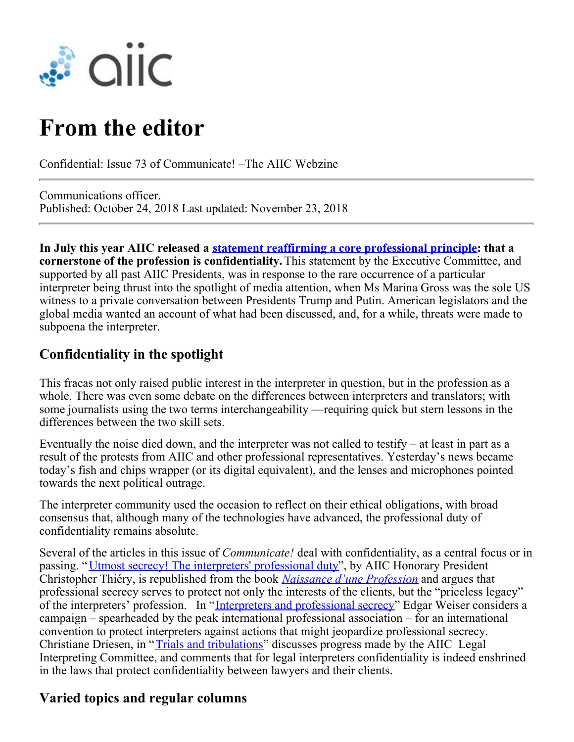

# **From the editor**

Confidential: Issue 73 of Communicate! –The AIIC Webzine

Communications officer. Published: October 24, 2018 Last updated: November 23, 2018

**In July this year AIIC released a [statement reaffirming a core professional principle](https://members.aiic.net/page/8618/): that a cornerstone of the profession is confidentiality.** This statement by the Executive Committee, and supported by all past AIIC Presidents, was in response to the rare occurrence of a particular interpreter being thrust into the spotlight of media attention, when Ms Marina Gross was the sole US witness to a private conversation between Presidents Trump and Putin. American legislators and the global media wanted an account of what had been discussed, and, for a while, threats were made to subpoena the interpreter.

## **Confidentiality in the spotlight**

This fracas not only raised public interest in the interpreter in question, but in the profession as a whole. There was even some debate on the differences between interpreters and translators; with some journalists using the two terms interchangeability —requiring quick but stern lessons in the differences between the two skill sets.

Eventually the noise died down, and the interpreter was not called to testify – at least in part as a result of the protests from AIIC and other professional representatives. Yesterday's news became today's fish and chips wrapper (or its digital equivalent), and the lenses and microphones pointed towards the next political outrage.

The interpreter community used the occasion to reflect on their ethical obligations, with broad consensus that, although many of the technologies have advanced, the professional duty of confidentiality remains absolute.

Several of the articles in this issue of *Communicate!* deal with confidentiality, as a central focus or in passing. "[Utmost secrecy! The interpreters' professional duty](https://members.aiic.net/page/8682/)", by AIIC Honorary President Christopher Thiéry, is republished from the book *[Naissance d'une Profession](https://members.aiic.net/page/6621)* and argues that professional secrecy serves to protect not only the interests of the clients, but the "priceless legacy" of the interpreters' profession. In "[Interpreters and professional secrecy](https://members.aiic.net/pages/8650)" Edgar Weiser considers a campaign – spearheaded by the peak international professional association – for an international convention to protect interpreters against actions that might jeopardize professional secrecy. Christiane Driesen, in "[Trials and tribulations](https://members.aiic.net/page/8677)" discusses progress made by the AIIC Legal Interpreting Committee, and comments that for legal interpreters confidentiality is indeed enshrined in the laws that protect confidentiality between lawyers and their clients.

### **Varied topics and regular columns**